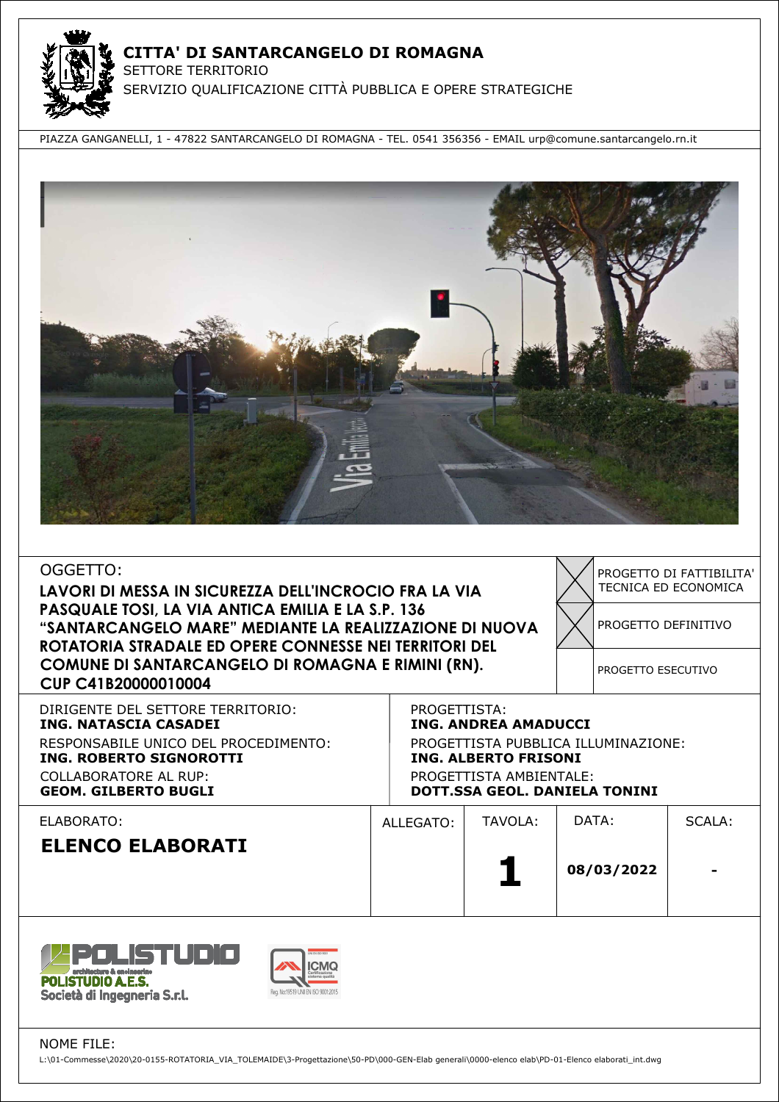

PIAZZA GANGANELLI, 1 - 47822 SANTARCANGELO DI ROMAGNA - TEL. 0541 356356 - EMAIL urp@comune.santarcangelo.rn.it



| OGGETTO:<br>LAVORI DI MESSA IN SICUREZZA DELL'INCROCIO FRA LA VIA<br>PASQUALE TOSI, LA VIA ANTICA EMILIA E LA S.P. 136<br>"SANTARCANGELO MARE" MEDIANTE LA REALIZZAZIONE DI NUOVA<br>ROTATORIA STRADALE ED OPERE CONNESSE NEI TERRITORI DEL<br>COMUNE DI SANTARCANGELO DI ROMAGNA E RIMINI (RN).<br>CUP C41B20000010004 |           |                                                                                                                                                                                      |  | PROGETTO DEFINITIVO<br>PROGETTO ESECUTIVO | TECNICA ED ECONOMICA |  |  |
|-------------------------------------------------------------------------------------------------------------------------------------------------------------------------------------------------------------------------------------------------------------------------------------------------------------------------|-----------|--------------------------------------------------------------------------------------------------------------------------------------------------------------------------------------|--|-------------------------------------------|----------------------|--|--|
| DIRIGENTE DEL SETTORE TERRITORIO:<br><b>ING. NATASCIA CASADEI</b><br>RESPONSABILE UNICO DEL PROCEDIMENTO:<br><b>ING. ROBERTO SIGNOROTTI</b><br><b>COLLABORATORE AL RUP:</b><br><b>GEOM. GILBERTO BUGLI</b>                                                                                                              |           | PROGETTISTA:<br><b>ING. ANDREA AMADUCCI</b><br>PROGETTISTA PUBBLICA ILLUMINAZIONE:<br><b>ING. ALBERTO FRISONI</b><br>PROGETTISTA AMBIENTALE:<br><b>DOTT.SSA GEOL. DANIELA TONINI</b> |  |                                           |                      |  |  |
| ELABORATO:<br><b>ELENCO ELABORATI</b>                                                                                                                                                                                                                                                                                   | ALLEGATO: | TAVOLA:                                                                                                                                                                              |  | DATA:<br>08/03/2022                       | SCALA:               |  |  |



NOME FILE:

L:\01-Commesse\2020\20-0155-ROTATORIA\_VIA\_TOLEMAIDE\3-Progettazione\50-PD\000-GEN-Elab generali\0000-elenco elab\PD-01-Elenco elaborati\_int.dwg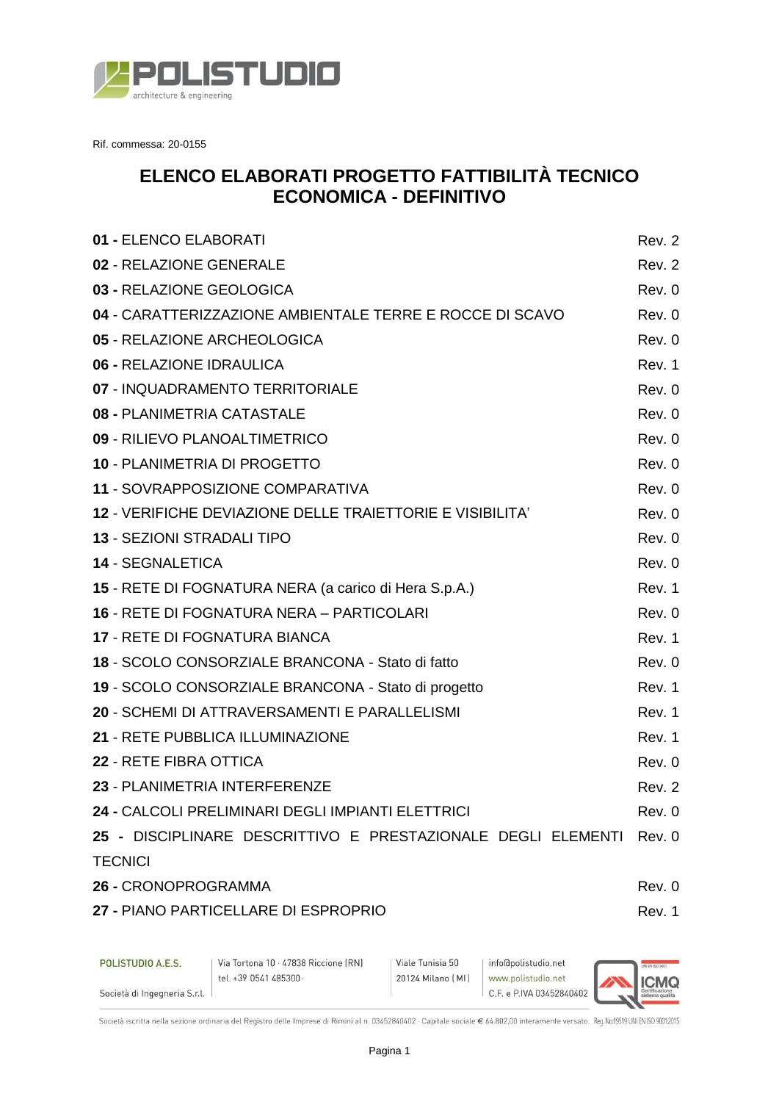

Rif. commessa: 20-0155

## **ELENCO ELABORATI PROGETTO FATTIBILITÀ TECNICO ECONOMICA - DEFINITIVO**

| 01 - ELENCO ELABORATI   |                                                                                                   | Rev. 2 |
|-------------------------|---------------------------------------------------------------------------------------------------|--------|
|                         | 02 - RELAZIONE GENERALE                                                                           | Rev. 2 |
|                         | 03 - RELAZIONE GEOLOGICA                                                                          | Rev. 0 |
|                         | 04 - CARATTERIZZAZIONE AMBIENTALE TERRE E ROCCE DI SCAVO                                          | Rev. 0 |
|                         | 05 - RELAZIONE ARCHEOLOGICA                                                                       | Rev. 0 |
|                         | 06 - RELAZIONE IDRAULICA                                                                          | Rev. 1 |
|                         | 07 - INQUADRAMENTO TERRITORIALE                                                                   | Rev. 0 |
|                         | 08 - PLANIMETRIA CATASTALE                                                                        | Rev. 0 |
|                         | 09 - RILIEVO PLANOALTIMETRICO                                                                     | Rev. 0 |
|                         | 10 - PLANIMETRIA DI PROGETTO                                                                      | Rev. 0 |
|                         | 11 - SOVRAPPOSIZIONE COMPARATIVA                                                                  | Rev. 0 |
|                         | 12 - VERIFICHE DEVIAZIONE DELLE TRAIETTORIE E VISIBILITA'                                         | Rev. 0 |
|                         | 13 - SEZIONI STRADALI TIPO                                                                        | Rev. 0 |
| <b>14 - SEGNALETICA</b> |                                                                                                   | Rev. 0 |
|                         | 15 - RETE DI FOGNATURA NERA (a carico di Hera S.p.A.)                                             | Rev. 1 |
|                         | <b>16 - RETE DI FOGNATURA NERA – PARTICOLARI</b>                                                  | Rev. 0 |
|                         | <b>17 - RETE DI FOGNATURA BIANCA</b>                                                              | Rev. 1 |
|                         | 18 - SCOLO CONSORZIALE BRANCONA - Stato di fatto                                                  | Rev. 0 |
|                         | 19 - SCOLO CONSORZIALE BRANCONA - Stato di progetto                                               | Rev. 1 |
|                         | 20 - SCHEMI DI ATTRAVERSAMENTI E PARALLELISMI                                                     | Rev. 1 |
|                         | 21 - RETE PUBBLICA ILLUMINAZIONE                                                                  | Rev. 1 |
| 22 - RETE FIBRA OTTICA  |                                                                                                   | Rev. 0 |
|                         | 23 - PLANIMETRIA INTERFERENZE                                                                     | Rev. 2 |
|                         | 24 - CALCOLI PRELIMINARI DEGLI IMPIANTI ELETTRICI                                                 | Rev. 0 |
|                         | 25 - DISCIPLINARE DESCRITTIVO E PRESTAZIONALE DEGLI ELEMENTI Rev. 0                               |        |
| <b>TECNICI</b>          |                                                                                                   |        |
| 26 - CRONOPROGRAMMA     |                                                                                                   | Rev. 0 |
|                         | 27 - PIANO PARTICELLARE DI ESPROPRIO                                                              | Rev. 1 |
|                         | POLISTUDIO A.E.S.   Via Tortona 10 · 47838 Riccione (RN)   Viale Tunisia 50   info@polistudio.net |        |

Società iscritta nella sezione ordinaria del Registro delle Imprese di Rimini al n. 03452840402 · Capitale sociale € 64.802,00 interamente versato. Reg. No:19519 UNI EN ISO 90012015

20124 Milano (MI)

www.polistudio.net

C.F. e P.IVA 03452840402

**ICMQ** 

tel. +39 0541 485300 ·

Società di Ingegneria S.r.l.